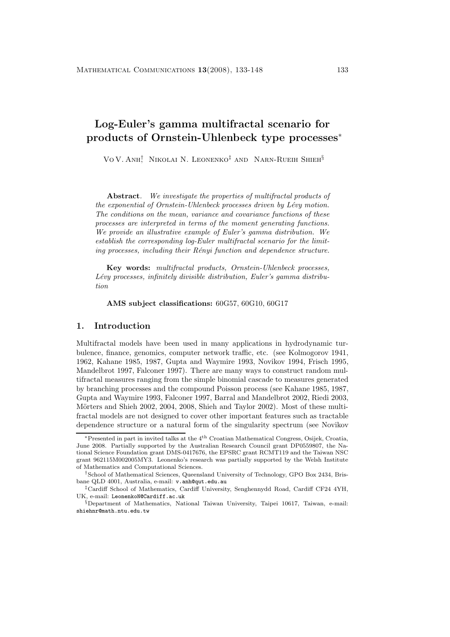# **Log-Euler's gamma multifractal scenario for products of Ornstein-Uhlenbeck type processes**<sup>∗</sup>

Vo V. Anh<sup>†</sup> Nikolai N. Leonenko<sup>‡</sup> and Narn-Rueih Shieh<sup>§</sup>

**Abstract***. We investigate the properties of multifractal products of the exponential of Ornstein-Uhlenbeck processes driven by Lévy motion. The conditions on the mean, variance and covariance functions of these processes are interpreted in terms of the moment generating functions. We provide an illustrative example of Euler's gamma distribution. We establish the corresponding log-Euler multifractal scenario for the limiting processes, including their R´enyi function and dependence structure.*

**Key words:** *multifractal products, Ornstein-Uhlenbeck processes,* Lévy processes, infinitely divisible distribution, Euler's gamma distribu*tion*

**AMS subject classifications:** 60G57, 60G10, 60G17

## **1. Introduction**

Multifractal models have been used in many applications in hydrodynamic turbulence, finance, genomics, computer network traffic, etc. (see Kolmogorov 1941, 1962, Kahane 1985, 1987, Gupta and Waymire 1993, Novikov 1994, Frisch 1995, Mandelbrot 1997, Falconer 1997). There are many ways to construct random multifractal measures ranging from the simple binomial cascade to measures generated by branching processes and the compound Poisson process (see Kahane 1985, 1987, Gupta and Waymire 1993, Falconer 1997, Barral and Mandelbrot 2002, Riedi 2003, Mörters and Shieh 2002, 2004, 2008, Shieh and Taylor 2002). Most of these multifractal models are not designed to cover other important features such as tractable dependence structure or a natural form of the singularity spectrum (see Novikov

<sup>∗</sup>Presented in part in invited talks at the 4th Croatian Mathematical Congress, Osijek, Croatia, June 2008. Partially supported by the Australian Research Council grant DP0559807, the National Science Foundation grant DMS-0417676, the EPSRC grant RCMT119 and the Taiwan NSC grant 962115M002005MY3. Leonenko's research was partially supported by the Welsh Institute of Mathematics and Computational Sciences.

<sup>†</sup>School of Mathematical Sciences, Queensland University of Technology, GPO Box 2434, Brisbane QLD 4001, Australia, e-mail: v.anh@qut.edu.au

<sup>‡</sup>Cardiff School of Mathematics, Cardiff University, Senghennydd Road, Cardiff CF24 4YH, UK, e-mail: LeonenkoN@Cardiff.ac.uk

<sup>§</sup>Department of Mathematics, National Taiwan University, Taipei 10617, Taiwan, e-mail: shiehnr@math.ntu.edu.tw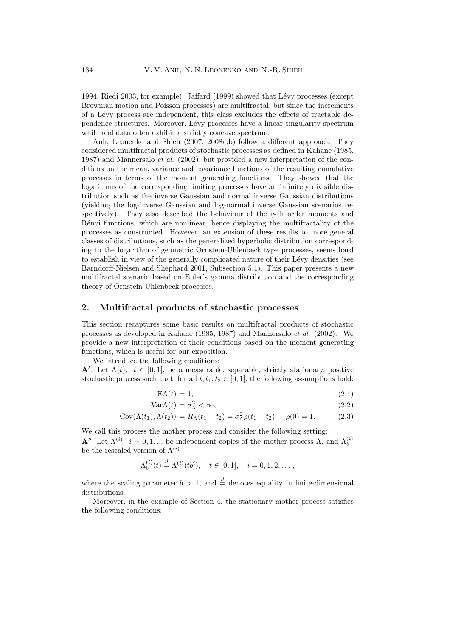1994, Riedi 2003, for example). Jaffard (1999) showed that Lévy processes (except Brownian motion and Poisson processes) are multifractal; but since the increments of a L´evy process are independent, this class excludes the effects of tractable dependence structures. Moreover, L´evy processes have a linear singularity spectrum while real data often exhibit a strictly concave spectrum.

Anh, Leonenko and Shieh (2007, 2008a,b) followa different approach. They considered multifractal products of stochastic processes as defined in Kahane (1985, 1987) and Mannersalo *et al.* (2002), but provided a newinterpretation of the conditions on the mean, variance and covariance functions of the resulting cumulative processes in terms of the moment generating functions. They showed that the logarithms of the corresponding limiting processes have an infinitely divisible distribution such as the inverse Gaussian and normal inverse Gaussian distributions (yielding the log-inverse Gaussian and log-normal inverse Gaussian scenarios respectively). They also described the behaviour of the  $q$ -th order moments and Rényi functions, which are nonlinear, hence displaying the multifractality of the processes as constructed. However, an extension of these results to more general classes of distributions, such as the generalized hyperbolic distribution corresponding to the logarithm of geometric Ornstein-Uhlenbeck type processes, seems hard to establish in view of the generally complicated nature of their Lévy densities (see Barndorff-Nielsen and Shephard 2001, Subsection 5.1). This paper presents a new multifractal scenario based on Euler's gamma distribution and the corresponding theory of Ornstein-Uhlenbeck processes.

#### **2. Multifractal products of stochastic processes**

This section recaptures some basic results on multifractal products of stochastic processes as developed in Kahane (1985, 1987) and Mannersalo *et al.* (2002). We provide a newinterpretation of their conditions based on the moment generating functions, which is useful for our exposition.

We introduce the following conditions:

**A**'. Let  $\Lambda(t)$ ,  $t \in [0,1]$ , be a measurable, separable, strictly stationary, positive stochastic process such that, for all  $t, t_1, t_2 \in [0, 1]$ , the following assumptions hold:

$$
E\Lambda(t) = 1,\t\t(2.1)
$$

$$
\text{Var}\Lambda(t) = \sigma_{\Lambda}^2 < \infty, \tag{2.2}
$$

$$
Cov(\Lambda(t_1), \Lambda(t_2)) = R_{\Lambda}(t_1 - t_2) = \sigma_{\Lambda}^2 \rho(t_1 - t_2), \quad \rho(0) = 1. \tag{2.3}
$$

We call this process the mother process and consider the following setting: **A**<sup>''</sup>. Let  $\Lambda^{(i)}$ ,  $i = 0, 1, ...$  be independent copies of the mother process  $\Lambda$ , and  $\Lambda_b^{(i)}$ be the rescaled version of  $\Lambda^{(i)}$  :

$$
\Lambda_b^{(i)}(t) \stackrel{d}{=} \Lambda^{(i)}(tb^i), \quad t \in [0,1], \quad i = 0, 1, 2, \dots,
$$

where the scaling parameter  $b > 1$ , and  $\stackrel{d}{=}$  denotes equality in finite-dimensional distributions.

Moreover, in the example of Section 4, the stationary mother process satisfies the following conditions: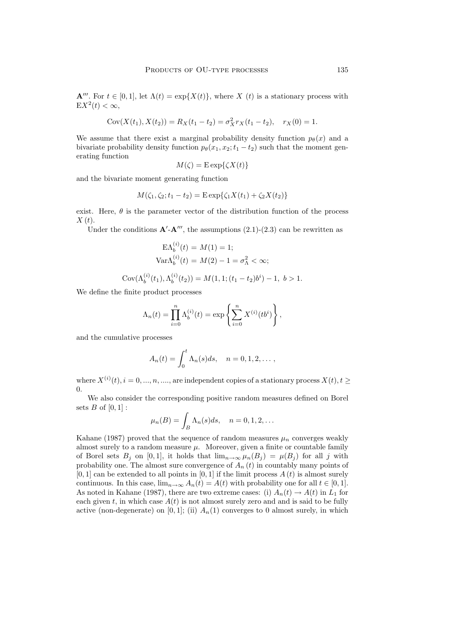**A**<sup>'''</sup>. For  $t \in [0, 1]$ , let  $\Lambda(t) = \exp\{X(t)\}$ , where X (t) is a stationary process with  $EX^2(t) < \infty$ ,

$$
Cov(X(t_1), X(t_2)) = R_X(t_1 - t_2) = \sigma_X^2 r_X(t_1 - t_2), \quad r_X(0) = 1.
$$

We assume that there exist a marginal probability density function  $p_{\theta}(x)$  and a bivariate probability density function  $p_{\theta}(x_1, x_2; t_1 - t_2)$  such that the moment generating function

$$
M(\zeta) = \mathop{\mathrm{E}}\nolimits \exp\{\zeta X(t)\}
$$

and the bivariate moment generating function

$$
M(\zeta_1, \zeta_2; t_1 - t_2) = \text{E} \exp{\{\zeta_1 X(t_1) + \zeta_2 X(t_2)\}}
$$

exist. Here,  $\theta$  is the parameter vector of the distribution function of the process  $X(t)$ .

Under the conditions  $\mathbf{A}' \cdot \mathbf{A}'''$ , the assumptions (2.1)-(2.3) can be rewritten as

$$
\mathbf{E}\Lambda_b^{(i)}(t) = M(1) = 1;
$$
  
\n
$$
\text{Var}\Lambda_b^{(i)}(t) = M(2) - 1 = \sigma_{\Lambda}^2 < \infty;
$$

$$
Cov(\Lambda_b^{(i)}(t_1), \Lambda_b^{(i)}(t_2)) = M(1, 1; (t_1 - t_2)b^i) - 1, b > 1.
$$

We define the finite product processes

$$
\Lambda_n(t) = \prod_{i=0}^n \Lambda_b^{(i)}(t) = \exp \left\{ \sum_{i=0}^n X^{(i)}(tb^i) \right\},\,
$$

and the cumulative processes

$$
A_n(t) = \int_0^t \Lambda_n(s)ds, \quad n = 0, 1, 2, \dots,
$$

where  $X^{(i)}(t), i = 0, ..., n, ...,$  are independent copies of a stationary process  $X(t), t \geq$  $\Omega$ .

We also consider the corresponding positive random measures defined on Borel sets  $B$  of  $[0,1]$  :

$$
\mu_n(B) = \int_B \Lambda_n(s) ds, \quad n = 0, 1, 2, \dots
$$

Kahane (1987) proved that the sequence of random measures  $\mu_n$  converges weakly almost surely to a random measure  $\mu$ . Moreover, given a finite or countable family of Borel sets  $B_j$  on [0,1], it holds that  $\lim_{n\to\infty}\mu_n(B_j) = \mu(B_j)$  for all j with probability one. The almost sure convergence of  $A_n(t)$  in countably many points of  $[0, 1]$  can be extended to all points in  $[0, 1]$  if the limit process  $A(t)$  is almost surely continuous. In this case,  $\lim_{n\to\infty} A_n(t) = A(t)$  with probability one for all  $t \in [0,1]$ . As noted in Kahane (1987), there are two extreme cases: (i)  $A_n(t) \to A(t)$  in  $L_1$  for each given t, in which case  $A(t)$  is not almost surely zero and and is said to be fully active (non-degenerate) on [0, 1]; (ii)  $A_n(1)$  converges to 0 almost surely, in which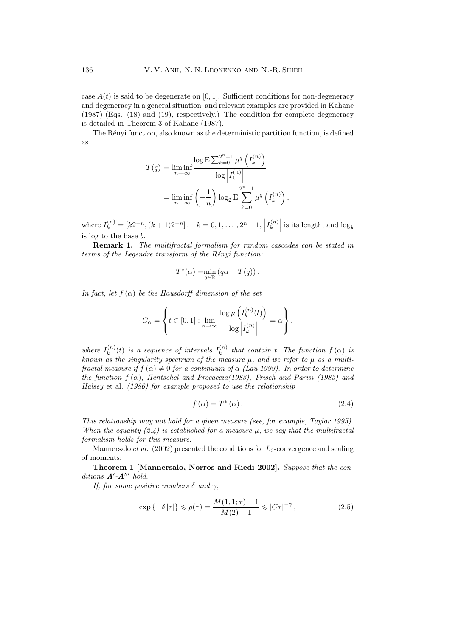case  $A(t)$  is said to be degenerate on [0, 1]. Sufficient conditions for non-degeneracy and degeneracy in a general situation and relevant examples are provided in Kahane (1987) (Eqs. (18) and (19), respectively.) The condition for complete degeneracy is detailed in Theorem 3 of Kahane (1987).

The Rényi function, also known as the deterministic partition function, is defined as

$$
T(q) = \liminf_{n \to \infty} \frac{\log E \sum_{k=0}^{2^n - 1} \mu^q \left(I_k^{(n)}\right)}{\log \left|I_k^{(n)}\right|}
$$

$$
= \liminf_{n \to \infty} \left(-\frac{1}{n}\right) \log_2 E \sum_{k=0}^{2^n - 1} \mu^q \left(I_k^{(n)}\right)
$$

where  $I_k^{(n)} = [k2^{-n}, (k+1)2^{-n}]$ ,  $k = 0, 1, ..., 2^n - 1$ ,  $I_k^{(n)}$  is its length, and  $\log_b$ is log to the base b.

**Remark 1.** *The multifractal formalism for random cascades can be stated in terms of the Legendre transform of the Rényi function:* 

$$
T^*(\alpha) = \min_{q \in \mathbb{R}} (q\alpha - T(q)).
$$

*In fact, let*  $f(\alpha)$  *be the Hausdorff dimension of the set* 

$$
C_{\alpha} = \left\{ t \in [0,1] : \lim_{n \to \infty} \frac{\log \mu\left(I_k^{(n)}(t)\right)}{\log \left|I_k^{(n)}\right|} = \alpha \right\},\
$$

where  $I_k^{(n)}(t)$  is a sequence of intervals  $I_k^{(n)}$  that contain t. The function  $f(\alpha)$  is *known as the singularity spectrum of the measure*  $\mu$ , and we refer to  $\mu$  as a multi*fractal measure if*  $f(\alpha) \neq 0$  *for a continuum of*  $\alpha$  *(Lau 1999). In order to determine the function* f (α)*, Hentschel and Procaccia(1983), Frisch and Parisi (1985) and Halsey* et al. *(1986) for example proposed to use the relationship*

$$
f\left(\alpha\right) = T^*\left(\alpha\right). \tag{2.4}
$$

,

*This relationship may not hold for a given measure (see, for example, Taylor 1995). When the equality (2.4) is established for a measure*  $\mu$ *, we say that the multifractal formalism holds for this measure.*

Mannersalo *et al.* (2002) presented the conditions for  $L_2$ -convergence and scaling of moments:

**Theorem 1 [Mannersalo, Norros and Riedi 2002].** *Suppose that the conditions A -A hold.*

*If, for some positive numbers*  $\delta$  *and*  $\gamma$ ,

$$
\exp\left\{-\delta\,|\tau|\right\} \leqslant \rho(\tau) = \frac{M(1,1;\tau) - 1}{M(2) - 1} \leqslant |C\tau|^{-\gamma},\tag{2.5}
$$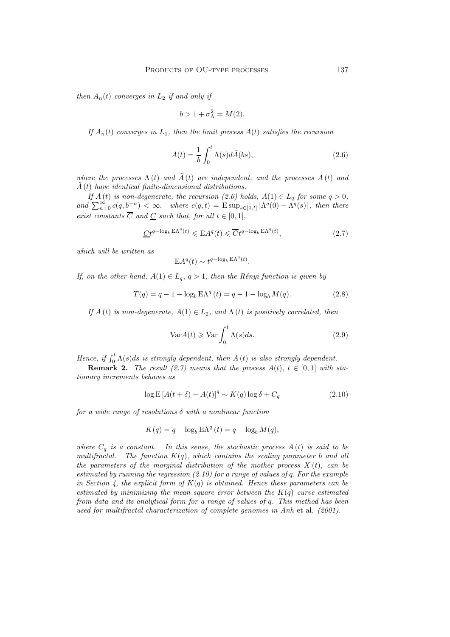*then*  $A_n(t)$  *converges in*  $L_2$  *if and only if* 

$$
b > 1 + \sigma_{\Lambda}^2 = M(2).
$$

*If*  $A_n(t)$  *converges in*  $L_1$ *, then the limit process*  $A(t)$  *satisfies the recursion* 

$$
A(t) = \frac{1}{b} \int_0^t \Lambda(s) d\tilde{A}(bs), \qquad (2.6)
$$

*where the processes*  $\Lambda(t)$  *and*  $\tilde{A}(t)$  *are independent, and the processes*  $A(t)$  *and*  $\tilde{A}(t)$  *have identical finite-dimensional distributions.* 

*If*  $A(t)$  *is non-degenerate, the recursion* (2.6) holds,  $A(1) \in L_q$  *for some*  $q > 0$ *,*  $and \sum_{n=0}^{\infty} c(q, b^{-n}) < \infty$ , where  $c(q, t) = E \sup_{s \in [0, t]} |\Lambda^q(0) - \Lambda^q(s)|$ , then there *exist constants*  $\overline{C}$  *and*  $\underline{C}$  *such that, for all*  $t \in [0, 1]$ ,

$$
\underline{C}t^{q-\log_b \mathcal{E}\Lambda^q(t)} \leqslant \mathcal{E}A^q(t) \leqslant \overline{C}t^{q-\log_b \mathcal{E}\Lambda^q(t)},\tag{2.7}
$$

*which will be written as*

$$
EA^{q}(t) \sim t^{q-\log_b \mathcal{E}\Lambda^{q}(t)}.
$$

*If, on the other hand,*  $A(1) \in L_q$ ,  $q > 1$ , then the Rényi function is given by

$$
T(q) = q - 1 - \log_b \mathbf{E} \Lambda^q(t) = q - 1 - \log_b M(q).
$$
 (2.8)

*If*  $A(t)$  *is non-degenerate,*  $A(1) \in L_2$ *, and*  $\Lambda(t)$  *is positively correlated, then* 

$$
Var A(t) \geq Var \int_0^t \Lambda(s) ds.
$$
 (2.9)

*Hence, if*  $\int_0^t \Lambda(s)ds$  *is strongly dependent, then*  $A(t)$  *is also strongly dependent.*<br>**Remark 2** *The result* (9.7) means that the process  $A(t)$   $t \in [0, 1]$  with

**Remark 2.** *The result (2.7)* means that the process  $A(t)$ ,  $t \in [0,1]$  with sta*tionary increments behaves as*

$$
\log E\left[A(t+\delta) - A(t)\right]^q \sim K(q)\log \delta + C_q \tag{2.10}
$$

*for a wide range of resolutions* δ *with a nonlinear function*

$$
K(q) = q - \log_b \mathbf{E}\Lambda^q(t) = q - \log_b M(q),
$$

*where*  $C_q$  *is a constant.* In this sense, the stochastic process  $A(t)$  *is said to be multifractal.* The function  $K(q)$ , which contains the scaling parameter b and all *the parameters of the marginal distribution of the mother process*  $X(t)$ *, can be estimated by running the regression (2.10) for a range of values of* q. *For the example in Section 4, the explicit form of* K(q) *is obtained. Hence these parameters can be estimated by minimizing the mean square error between the* K(q) *curve estimated from data and its analytical form for a range of values of* q*. This method has been used for multifractal characterization of complete genomes in Anh* et al. *(2001).*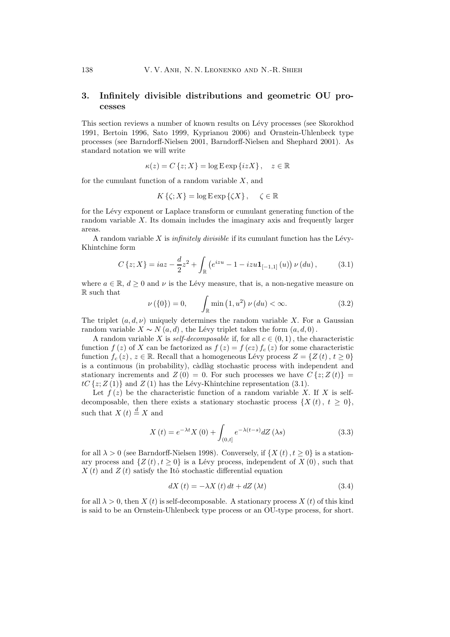# **3. Infinitely divisible distributions and geometric OU processes**

This section reviews a number of known results on Lévy processes (see Skorokhod 1991, Bertoin 1996, Sato 1999, Kyprianou 2006) and Ornstein-Uhlenbeck type processes (see Barndorff-Nielsen 2001, Barndorff-Nielsen and Shephard 2001). As standard notation we will write

$$
\kappa(z) = C\left\{z; X\right\} = \log \operatorname{E} \exp\left\{iz X\right\}, \quad z \in \mathbb{R}
$$

for the cumulant function of a random variable  $X$ , and

$$
K\left\{\zeta; X\right\} = \log \mathcal{E} \exp \left\{\zeta X\right\}, \quad \zeta \in \mathbb{R}
$$

for the Lévy exponent or Laplace transform or cumulant generating function of the random variable X. Its domain includes the imaginary axis and frequently larger areas.

A random variable  $X$  is *infinitely divisible* if its cumulant function has the Lévy-Khintchine form

$$
C\left\{z;X\right\} = ia z - \frac{d}{2}z^2 + \int_{\mathbb{R}} \left(e^{izu} - 1 - izu \mathbf{1}_{[-1,1]}(u)\right) \nu\left(du\right),\tag{3.1}
$$

where  $a \in \mathbb{R}$ ,  $d \geq 0$  and  $\nu$  is the Lévy measure, that is, a non-negative measure on R such that

$$
\nu(\{0\}) = 0, \qquad \int_{\mathbb{R}} \min(1, u^2) \nu(du) < \infty. \tag{3.2}
$$

The triplet  $(a, d, \nu)$  uniquely determines the random variable X. For a Gaussian random variable  $X \sim N(a, d)$ , the Lévy triplet takes the form  $(a, d, 0)$ .

A random variable X is *self-decomposable* if, for all  $c \in (0, 1)$ , the characteristic function  $f(z)$  of X can be factorized as  $f(z) = f(cz) f_c(z)$  for some characteristic function  $f_c(z)$ ,  $z \in \mathbb{R}$ . Recall that a homogeneous Lévy process  $Z = \{Z(t), t \geq 0\}$ is a continuous (in probability), càdlàg stochastic process with independent and stationary increments and  $Z(0) = 0$ . For such processes we have  $C\{z; Z(t)\} =$  $tC\{z;Z(1)\}\$ and  $Z(1)$  has the Lévy-Khintchine representation (3.1).

Let  $f(z)$  be the characteristic function of a random variable X. If X is selfdecomposable, then there exists a stationary stochastic process  $\{X(t), t \geq 0\},\$ such that  $X(t) \stackrel{d}{=} X$  and

$$
X(t) = e^{-\lambda t} X(0) + \int_{(0,t]} e^{-\lambda(t-s)} dZ(\lambda s)
$$
\n(3.3)

for all  $\lambda > 0$  (see Barndorff-Nielsen 1998). Conversely, if  $\{X(t), t \ge 0\}$  is a stationary process and  $\{Z(t), t \geq 0\}$  is a Lévy process, independent of  $X(0)$ , such that  $X(t)$  and  $Z(t)$  satisfy the Itô stochastic differential equation

$$
dX(t) = -\lambda X(t) dt + dZ(\lambda t)
$$
\n(3.4)

for all  $\lambda > 0$ , then X (t) is self-decomposable. A stationary process X (t) of this kind is said to be an Ornstein-Uhlenbeck type process or an OU-type process, for short.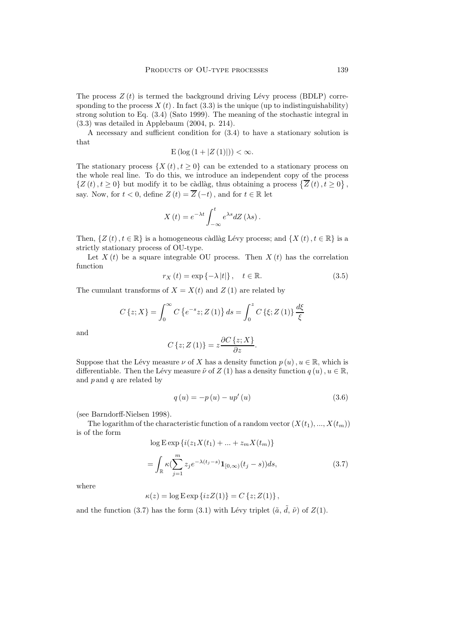The process  $Z(t)$  is termed the background driving Lévy process (BDLP) corresponding to the process  $X(t)$ . In fact (3.3) is the unique (up to indistinguishability) strong solution to Eq. (3.4) (Sato 1999). The meaning of the stochastic integral in (3.3) was detailed in Applebaum (2004, p. 214).

A necessary and sufficient condition for (3.4) to have a stationary solution is that

$$
E\left(\log\left(1+|Z\left(1\right)|\right)\right)<\infty.
$$

The stationary process  $\{X(t), t \geq 0\}$  can be extended to a stationary process on the whole real line. To do this, we introduce an independent copy of the process  $\{Z(t), t \geq 0\}$  but modify it to be càdlàg, thus obtaining a process  $\{\overline{Z}(t), t \geq 0\},$ say. Now, for  $t < 0$ , define  $Z(t) = \overline{Z}(-t)$ , and for  $t \in \mathbb{R}$  let

$$
X(t) = e^{-\lambda t} \int_{-\infty}^{t} e^{\lambda s} dZ \left(\lambda s\right).
$$

Then,  $\{Z(t), t \in \mathbb{R}\}\)$  is a homogeneous càdlàg Lévy process; and  $\{X(t), t \in \mathbb{R}\}\)$  is a strictly stationary process of OU-type.

Let  $X(t)$  be a square integrable OU process. Then  $X(t)$  has the correlation function

$$
r_X(t) = \exp\left\{-\lambda \, |t|\right\}, \quad t \in \mathbb{R}.\tag{3.5}
$$

The cumulant transforms of  $X = X(t)$  and  $Z(1)$  are related by

$$
C\left\{z;X\right\} = \int_0^\infty C\left\{e^{-s}z;Z\left(1\right)\right\}ds = \int_0^z C\left\{\xi;Z\left(1\right)\right\}\frac{d\xi}{\xi}
$$

and

$$
C\left\{z;Z\left(1\right)\right\}=z\frac{\partial C\left\{z;X\right\}}{\partial z}.
$$

Suppose that the Lévy measure  $\nu$  of X has a density function  $p(u)$ ,  $u \in \mathbb{R}$ , which is differentiable. Then the Lévy measure  $\tilde{\nu}$  of Z (1) has a density function  $q(u), u \in \mathbb{R}$ , and  $p$  and  $q$  are related by

$$
q(u) = -p(u) - up'(u)
$$
\n(3.6)

(see Barndorff-Nielsen 1998).

The logarithm of the characteristic function of a random vector  $(X(t_1),..., X(t_m))$ is of the form

$$
\log E \exp \{ i(z_1 X(t_1) + \dots + z_m X(t_m) \}
$$
  
= 
$$
\int_{\mathbb{R}} \kappa (\sum_{j=1}^m z_j e^{-\lambda (t_j - s)} \mathbf{1}_{[0,\infty)} (t_j - s)) ds,
$$
 (3.7)

where

$$
\kappa(z) = \log \mathbf{E} \exp \left\{ i z Z(1) \right\} = C \left\{ z; Z(1) \right\},\,
$$

and the function (3.7) has the form (3.1) with Lévy triplet  $(\tilde{a}, \tilde{d}, \tilde{\nu})$  of  $Z(1)$ .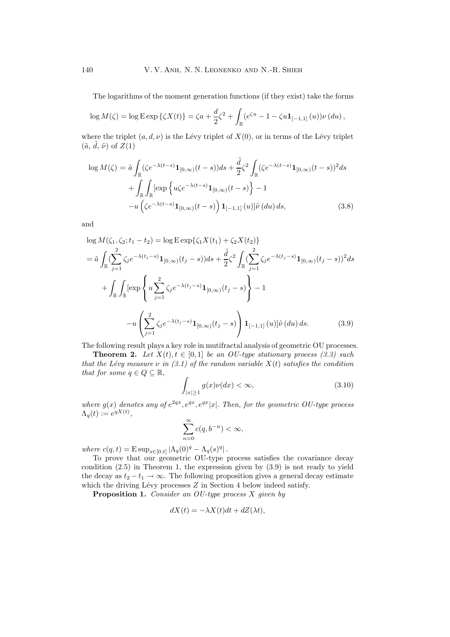The logarithms of the moment generation functions (if they exist) take the forms

$$
\log M(\zeta) = \log \mathbb{E} \exp \{ \zeta X(t) \} = \zeta a + \frac{d}{2} \zeta^2 + \int_{\mathbb{R}} (e^{\zeta u} - 1 - \zeta u \mathbf{1}_{[-1,1]}(u)) \nu (du),
$$

where the triplet  $(a, d, \nu)$  is the Lévy triplet of  $X(0)$ , or in terms of the Lévy triplet  $(\tilde{a}, \tilde{d}, \tilde{\nu})$  of  $Z(1)$ 

$$
\log M(\zeta) = \tilde{a} \int_{\mathbb{R}} (\zeta e^{-\lambda(t-s)} \mathbf{1}_{[0,\infty)}(t-s)) ds + \frac{\tilde{d}}{2} \zeta^2 \int_{\mathbb{R}} (\zeta e^{-\lambda(t-s)} \mathbf{1}_{[0,\infty)}(t-s))^2 ds
$$

$$
+ \int_{\mathbb{R}} \int_{\mathbb{R}} [\exp \left\{ u \zeta e^{-\lambda(t-s)} \mathbf{1}_{[0,\infty)}(t-s) \right\} - 1
$$

$$
-u \left( \zeta e^{-\lambda(t-s)} \mathbf{1}_{[0,\infty)}(t-s) \right) \mathbf{1}_{[-1,1]}(u)] \tilde{\nu}(du) ds,
$$
(3.8)

and

$$
\log M(\zeta_1, \zeta_2; t_1 - t_2) = \log \operatorname{Exp}\{\zeta_1 X(t_1) + \zeta_2 X(t_2)\}
$$
  
\n
$$
= \tilde{a} \int_{\mathbb{R}} \left( \sum_{j=1}^2 \zeta_j e^{-\lambda(t_j - s)} \mathbf{1}_{[0,\infty)}(t_j - s) \right) ds + \frac{\tilde{d}}{2} \zeta^2 \int_{\mathbb{R}} \left( \sum_{j=1}^2 \zeta_j e^{-\lambda(t_j - s)} \mathbf{1}_{[0,\infty)}(t_j - s) \right)^2 ds
$$
  
\n
$$
+ \int_{\mathbb{R}} \int_{\mathbb{R}} \left[ \exp \left\{ u \sum_{j=1}^2 \zeta_j e^{-\lambda(t_j - s)} \mathbf{1}_{[0,\infty)}(t_j - s) \right\} - 1
$$
  
\n
$$
-u \left( \sum_{j=1}^2 \zeta_j e^{-\lambda(t_j - s)} \mathbf{1}_{[0,\infty)}(t_j - s) \right) \mathbf{1}_{[-1,1]}(u) \left| \tilde{\nu}(du) ds. \tag{3.9}
$$

The following result plays a key role in mutifractal analysis of geometric OU processes.

**Theorem 2.** *Let*  $X(t), t \in [0, 1]$  *be an OU-type stationary process* (3.3) such *that the Lévy measure*  $\nu$  *in (3.1) of the random variable*  $X(t)$  *satisfies the condition that for some*  $q \in Q \subseteq \mathbb{R}$ ,

$$
\int_{|x|\geq 1} g(x)\nu(dx) < \infty,\tag{3.10}
$$

*where*  $g(x)$  *denotes any of*  $e^{2qx}$ ,  $e^{qx}$ ,  $e^{qx}|x|$ . *Then, for the geometric OU-type process*  $\Lambda_q(t) := e^{qX(t)},$ 

$$
\sum_{n=0}^{\infty} c(q, b^{-n}) < \infty,
$$

*where*  $c(q, t) = E \sup_{s \in [0, t]} |\Lambda_q(0)^q - \Lambda_q(s)^q|$ .

To prove that our geometric OU-type process satisfies the covariance decay condition (2.5) in Theorem 1, the expression given by (3.9) is not ready to yield the decay as  $t_2 - t_1 \rightarrow \infty$ . The following proposition gives a general decay estimate which the driving Lévy processes  $Z$  in Section 4 below indeed satisfy.

**Proposition 1.** *Consider an OU-type process* X *given by*

$$
dX(t) = -\lambda X(t)dt + dZ(\lambda t),
$$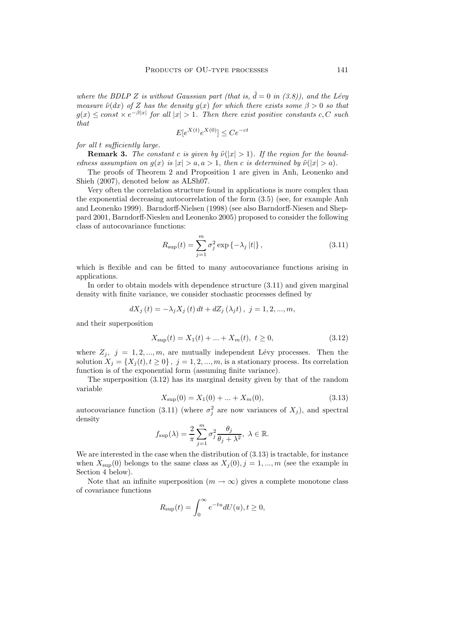where the BDLP Z is without Gaussian part (that is,  $\tilde{d} = 0$  in (3.8)), and the Lévy *measure*  $\tilde{\nu}(dx)$  *of* Z *has the density*  $g(x)$  *for which there exists some*  $\beta > 0$  *so that*  $g(x) \leq const \times e^{-\beta |x|}$  for all  $|x| > 1$ . Then there exist positive constants c, C such *that*

$$
E[e^{X(t)}e^{X(0)}] \le Ce^{-ct}
$$

*for all* t *sufficiently large.*

**Remark 3.** *The constant c is given by*  $\tilde{\nu}(|x| > 1)$ *. If the region for the boundedness assumption on*  $q(x)$  *is*  $|x| > a, a > 1$ *, then c is determined by*  $\tilde{\nu}(|x| > a)$ *.* 

The proofs of Theorem 2 and Proposition 1 are given in Anh, Leonenko and Shieh (2007), denoted belowas ALSh07.

Very often the correlation structure found in applications is more complex than the exponential decreasing autocorrelation of the form (3.5) (see, for example Anh and Leonenko 1999). Barndorff-Nielsen (1998) (see also Barndorff-Niesen and Sheppard 2001, Barndorff-Nieslen and Leonenko 2005) proposed to consider the following class of autocovariance functions:

$$
R_{\rm sup}(t) = \sum_{j=1}^{m} \sigma_j^2 \exp\{-\lambda_j |t|\},
$$
\n(3.11)

which is flexible and can be fitted to many autocovariance functions arising in applications.

In order to obtain models with dependence structure (3.11) and given marginal density with finite variance, we consider stochastic processes defined by

$$
dX_j(t) = -\lambda_j X_j(t) dt + dZ_j(\lambda_j t), \ j = 1, 2, ..., m,
$$

and their superposition

$$
X_{\text{sup}}(t) = X_1(t) + \dots + X_m(t), \ t \ge 0,
$$
\n(3.12)

where  $Z_j$ ,  $j = 1, 2, ..., m$ , are mutually independent Lévy processes. Then the solution  $X_j = \{X_j(t), t \geq 0\}$ ,  $j = 1, 2, ..., m$ , is a stationary process. Its correlation function is of the exponential form (assuming finite variance).

The superposition (3.12) has its marginal density given by that of the random variable

$$
X_{\text{sup}}(0) = X_1(0) + \dots + X_m(0), \tag{3.13}
$$

autocovariance function (3.11) (where  $\sigma_j^2$  are now variances of  $X_j$ ), and spectral density

$$
f_{\text{sup}}(\lambda) = \frac{2}{\pi} \sum_{j=1}^{m} \sigma_j^2 \frac{\theta_j}{\theta_j + \lambda^2}, \ \lambda \in \mathbb{R}.
$$

We are interested in the case when the distribution of (3.13) is tractable, for instance when  $X_{\text{sup}}(0)$  belongs to the same class as  $X_i(0), j = 1, ..., m$  (see the example in Section 4 below).

Note that an infinite superposition  $(m \to \infty)$  gives a complete monotone class of covariance functions

$$
R_{\text{sup}}(t) = \int_0^\infty e^{-tu} dU(u), t \ge 0,
$$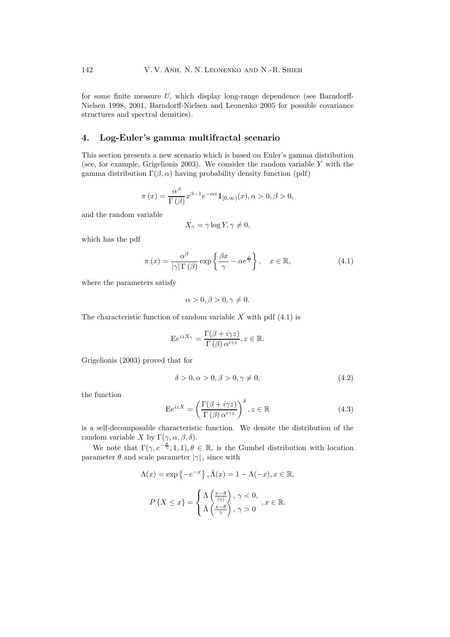for some finite measure  $U$ , which display long-range dependence (see Barndorff-Nielsen 1998, 2001, Barndorff-Nielsen and Leonenko 2005 for possible covariance structures and spectral densities).

## **4. Log-Euler's gamma multifractal scenario**

This section presents a new scenario which is based on Euler's gamma distribution (see, for example, Grigelionis 2003). We consider the random variable  $Y$  with the gamma distribution  $\Gamma(\beta, \alpha)$  having probability density function (pdf)

$$
\pi(x) = \frac{\alpha^{\beta}}{\Gamma(\beta)} x^{\beta - 1} e^{-\alpha x} \mathbf{1}_{[0,\infty)}(x), \alpha > 0, \beta > 0,
$$

and the random variable

$$
X_{\gamma} = \gamma \log Y, \gamma \neq 0,
$$

which has the pdf

$$
\pi(x) = \frac{\alpha^{\beta}}{|\gamma| \Gamma(\beta)} \exp\left\{\frac{\beta x}{\gamma} - \alpha e^{\frac{x}{\gamma}}\right\}, \quad x \in \mathbb{R},
$$
\n(4.1)

where the parameters satisfy

$$
\alpha > 0, \beta > 0, \gamma \neq 0.
$$

The characteristic function of random variable  $X$  with pdf  $(4.1)$  is

$$
E e^{izX_{\gamma}} = \frac{\Gamma(\beta + i\gamma z)}{\Gamma(\beta) \alpha^{i\gamma z}}, z \in \mathbb{R}.
$$

Grigelionis (2003) proved that for

$$
\delta > 0, \alpha > 0, \beta > 0, \gamma \neq 0,\tag{4.2}
$$

the function

$$
E e^{izX} = \left(\frac{\Gamma(\beta + i\gamma z)}{\Gamma(\beta)\,\alpha^{i\gamma z}}\right)^{\delta}, z \in \mathbb{R}
$$
 (4.3)

is a self-decomposable characteristic function. We denote the distribution of the random variable X by  $\Gamma(\gamma, \alpha, \beta, \delta)$ .

We note that  $\Gamma(\gamma, e^{-\frac{\theta}{\gamma}}, 1, 1), \theta \in \mathbb{R}$ , is the Gumbel distribution with location parameter  $\theta$  and scale parameter  $|\gamma|$ , since with

$$
\Lambda(x) = \exp\left\{-e^{-x}\right\}, \bar{\Lambda}(x) = 1 - \Lambda(-x), x \in \mathbb{R},
$$

$$
P\left\{X \le x\right\} = \begin{cases} \Lambda\left(\frac{x-\theta}{|\gamma|}\right), \gamma < 0, \\ \bar{\Lambda}\left(\frac{x-\theta}{\gamma}\right), \gamma > 0 \end{cases}, x \in \mathbb{R}.
$$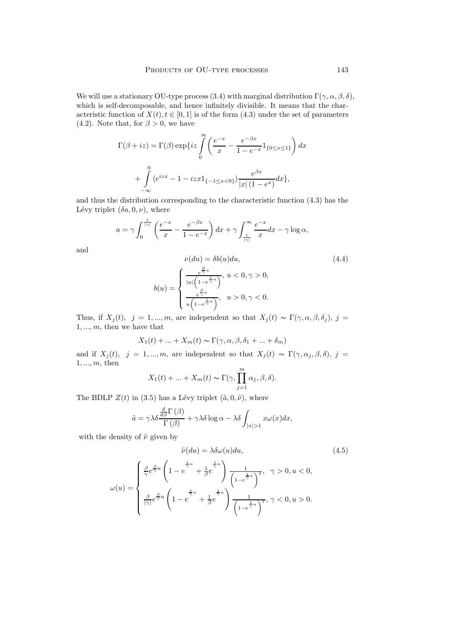We will use a stationary OU-type process (3.4) with marginal distribution  $\Gamma(\gamma, \alpha, \beta, \delta)$ , which is self-decomposable, and hence infinitely divisible. It means that the characteristic function of  $X(t), t \in [0, 1]$  is of the form (4.3) under the set of parameters (4.2). Note that, for  $\beta > 0$ , we have

$$
\Gamma(\beta + iz) = \Gamma(\beta) \exp\{iz \int_{0}^{\infty} \left(\frac{e^{-x}}{x} - \frac{e^{-\beta x}}{1 - e^{-x}} 1_{\{0 \le x \le 1\}}\right) dx
$$

$$
+ \int_{-\infty}^{0} (e^{izx} - 1 - izx 1_{\{-1 \le x < 0\}}) \frac{e^{\beta x}}{|x| (1 - e^x)} dx \},
$$

and thus the distribution corresponding to the characteristic function (4.3) has the Lévy triplet  $(\delta a, 0, \nu)$ , where

$$
a = \gamma \int_0^{\frac{1}{|\gamma|}} \left( \frac{e^{-x}}{x} - \frac{e^{-\beta x}}{1 - e^{-x}} \right) dx + \gamma \int_{\frac{1}{|\gamma|}}^{\infty} \frac{e^{-x}}{x} dx - \gamma \log \alpha,
$$
  

$$
\nu(du) = \delta b(u) du,
$$
 (4.4)

and

$$
\nu(du) = \delta b(u) du,
$$
\n
$$
b(u) = \begin{cases}\n\frac{e^{\frac{\beta}{\gamma}u}}{|u|\left(1 - e^{\frac{1}{\gamma}u}\right)}, u < 0, \gamma > 0, \\
\frac{e^{\frac{\beta}{\gamma}u}}{u\left(1 - e^{\frac{1}{\gamma}u}\right)}, u > 0, \gamma < 0.\n\end{cases}
$$
\n
$$
(4.4)
$$

Thus, if  $X_j(t)$ ,  $j = 1, ..., m$ , are independent so that  $X_j(t) \sim \Gamma(\gamma, \alpha, \beta, \delta_j)$ ,  $j =$  $1, \ldots, m$ , then we have that

$$
X_1(t) + \dots + X_m(t) \sim \Gamma(\gamma, \alpha, \beta, \delta_1 + \dots + \delta_m)
$$

and if  $X_i(t)$ ,  $j = 1, ..., m$ , are independent so that  $X_i(t) \sim \Gamma(\gamma, \alpha_i, \beta, \delta)$ ,  $j =$  $1, ..., m$ , then

$$
X_1(t) + ... + X_m(t) \sim \Gamma(\gamma, \prod_{j=1}^m \alpha_j, \beta, \delta).
$$

The BDLP  $Z(t)$  in (3.5) has a Lévy triplet  $(\tilde{a}, 0, \tilde{\nu})$ , where

$$
\tilde{a} = \gamma \lambda \delta \frac{\frac{d}{d\beta} \Gamma(\beta)}{\Gamma(\beta)} + \gamma \lambda \delta \log \alpha - \lambda \delta \int_{|x|>1} x \omega(x) dx,
$$

with the density of  $\tilde{\nu}$  given by

$$
\tilde{\nu}(du) = \lambda \delta \omega(u) du,\tag{4.5}
$$

$$
\omega(u) = \begin{cases} \frac{\beta}{\gamma} e^{\frac{\beta}{\gamma}u} \left(1 - e^{-\frac{1}{\gamma}u} + \frac{1}{\beta}e^{-\frac{1}{\gamma}u}\right) \frac{1}{\left(1 - e^{\frac{1}{\gamma}u}\right)^2}, & \gamma > 0, u < 0, \\ \frac{\beta}{\left|\gamma\right|} e^{\frac{\beta}{\gamma}u} \left(1 - e^{-\frac{1}{\gamma}u} + \frac{1}{\beta}e^{-\frac{1}{\gamma}u}\right) \frac{1}{\left(1 - e^{\frac{1}{\gamma}u}\right)^2}, & \gamma < 0, u > 0. \end{cases}
$$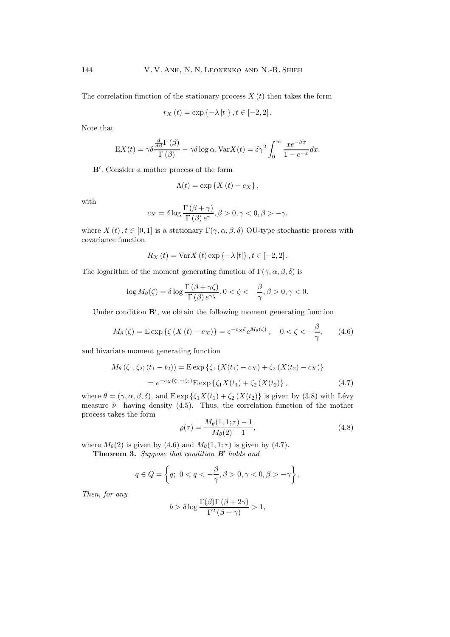The correlation function of the stationary process  $X(t)$  then takes the form

$$
r_X(t) = \exp\left\{-\lambda |t|\right\}, t \in [-2, 2].
$$

Note that

$$
EX(t) = \gamma \delta \frac{\frac{d}{d\beta} \Gamma(\beta)}{\Gamma(\beta)} - \gamma \delta \log \alpha, \text{Var}X(t) = \delta \gamma^2 \int_0^\infty \frac{xe^{-\beta x}}{1 - e^{-x}} dx.
$$

**B** . Consider a mother process of the form

$$
\Lambda(t) = \exp\left\{X\left(t\right) - c_X\right\},\,
$$

with

$$
c_X = \delta \log \frac{\Gamma(\beta + \gamma)}{\Gamma(\beta) e^{\gamma}}, \beta > 0, \gamma < 0, \beta > -\gamma.
$$

where  $X(t)$ ,  $t \in [0,1]$  is a stationary  $\Gamma(\gamma,\alpha,\beta,\delta)$  OU-type stochastic process with covariance function

$$
R_X(t) = \text{Var}X(t) \exp \left\{-\lambda |t| \right\}, t \in [-2, 2].
$$

The logarithm of the moment generating function of  $\Gamma(\gamma, \alpha, \beta, \delta)$  is

$$
\log M_{\theta}(\zeta) = \delta \log \frac{\Gamma(\beta + \gamma \zeta)}{\Gamma(\beta) e^{\gamma \zeta}}, 0 < \zeta < -\frac{\beta}{\gamma}, \beta > 0, \gamma < 0.
$$

Under condition  $\mathbf{B}'$ , we obtain the following moment generating function

$$
M_{\theta}(\zeta) = \mathcal{E} \exp \{ \zeta \left( X \left( t \right) - c_X \right) \} = e^{-c_X \zeta} e^{M_{\theta}(\zeta)}, \quad 0 < \zeta < -\frac{\beta}{\gamma}, \tag{4.6}
$$

and bivariate moment generating function

$$
M_{\theta}(\zeta_1, \zeta_2; (t_1 - t_2)) = \text{E} \exp \{ \zeta_1 \left( X(t_1) - c_X \right) + \zeta_2 \left( X(t_2) - c_X \right) \}
$$
  
=  $e^{-c_X(\zeta_1 + \zeta_2)} \text{E} \exp \{ \zeta_1 X(t_1) + \zeta_2 \left( X(t_2) \right) \},$  (4.7)

where  $\theta = (\gamma, \alpha, \beta, \delta)$ , and  $E \exp{\{\zeta_1 X(t_1) + \zeta_2 (X(t_2)\}\)}$  is given by (3.8) with Lévy measure  $\tilde{\nu}$  having density (4.5). Thus, the correlation function of the mother process takes the form

$$
\rho(\tau) = \frac{M_{\theta}(1, 1; \tau) - 1}{M_{\theta}(2) - 1},\tag{4.8}
$$

where  $M_{\theta}(2)$  is given by (4.6) and  $M_{\theta}(1, 1; \tau)$  is given by (4.7).

**Theorem 3.** *Suppose that condition B holds and*

$$
q \in Q = \left\{ q; \ 0 < q < -\frac{\beta}{\gamma}, \beta > 0, \gamma < 0, \beta > -\gamma \right\}.
$$

*Then, for any*

$$
b > \delta \log \frac{\Gamma(\beta)\Gamma(\beta + 2\gamma)}{\Gamma^2(\beta + \gamma)} > 1,
$$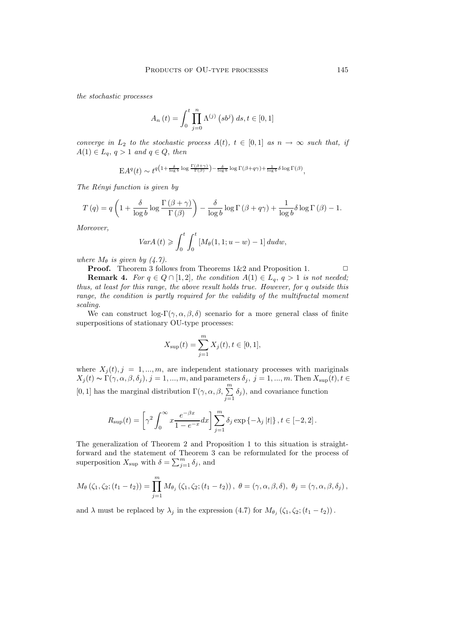*the stochastic processes*

$$
A_n(t) = \int_0^t \prod_{j=0}^n \Lambda^{(j)}(s b^j) ds, t \in [0, 1]
$$

*converge in*  $L_2$  *to the stochastic process*  $A(t)$ *,*  $t \in [0,1]$  *as*  $n \to \infty$  *such that, if*  $A(1) \in L_q$ ,  $q > 1$  *and*  $q \in Q$ , *then* 

$$
EA^{q}(t) \sim t^{q(1+\frac{\delta}{\log b}\log\frac{\Gamma(\beta+\gamma)}{\Gamma(\beta)})-\frac{\delta}{\log b}\log\Gamma(\beta+q\gamma)+\frac{1}{\log b}\delta\log\Gamma(\beta)},
$$

*The R´enyi function is given by*

$$
T(q) = q \left( 1 + \frac{\delta}{\log b} \log \frac{\Gamma(\beta + \gamma)}{\Gamma(\beta)} \right) - \frac{\delta}{\log b} \log \Gamma(\beta + q\gamma) + \frac{1}{\log b} \delta \log \Gamma(\beta) - 1.
$$

*Moreover,*

$$
Var A(t) \geq \int_0^t \int_0^t \left[ M_\theta(1,1;u-w) - 1 \right] du dw,
$$

*where*  $M_{\theta}$  *is given by* (4.7).

**Proof.** Theorem 3 follows from Theorems  $1\&2$  and Proposition 1.  $\Box$ 

**Remark 4.** *For*  $q \in Q \cap [1,2]$ *, the condition*  $A(1) \in L_q$ ,  $q > 1$  *is not needed; thus, at least for this range, the above result holds true. However, for* q *outside this range, the condition is partly required for the validity of the multifractal moment scaling.*

We can construct  $\log(\Gamma(\gamma, \alpha, \beta, \delta))$  scenario for a more general class of finite superpositions of stationary OU-type processes:

$$
X_{\text{sup}}(t) = \sum_{j=1}^{m} X_j(t), t \in [0, 1],
$$

where  $X_j(t)$ ,  $j = 1, ..., m$ , are independent stationary processes with mariginals  $X_j(t) \sim \Gamma(\gamma, \alpha, \beta, \delta_j), j = 1, ..., m$ , and parameters  $\delta_j, j = 1, ..., m$ . Then  $X_{\text{sup}}(t), t \in$ [0, 1] has the marginal distribution  $\Gamma(\gamma,\alpha,\beta,\sum^m)$  $\sum_{j=1}$  $\delta_j$ , and covariance function

$$
R_{\text{sup}}(t) = \left[\gamma^2 \int_0^\infty x \frac{e^{-\beta x}}{1 - e^{-x}} dx\right] \sum_{j=1}^m \delta_j \exp\left\{-\lambda_j |t|\right\}, t \in [-2, 2].
$$

The generalization of Theorem 2 and Proposition 1 to this situation is straightforward and the statement of Theorem 3 can be reformulated for the process of superposition  $X_{\text{sup}}$  with  $\delta = \sum_{j=1}^{m} \delta_j$ , and

$$
M_{\theta}\left(\zeta_{1}, \zeta_{2}; (t_{1}-t_{2})\right)=\prod_{j=1}^{m} M_{\theta_{j}}\left(\zeta_{1}, \zeta_{2}; (t_{1}-t_{2})\right), \ \theta=(\gamma, \alpha, \beta, \delta), \ \theta_{j}=(\gamma, \alpha, \beta, \delta_{j}),
$$

and  $\lambda$  must be replaced by  $\lambda_j$  in the expression (4.7) for  $M_{\theta_j}(\zeta_1, \zeta_2; (t_1 - t_2))$ .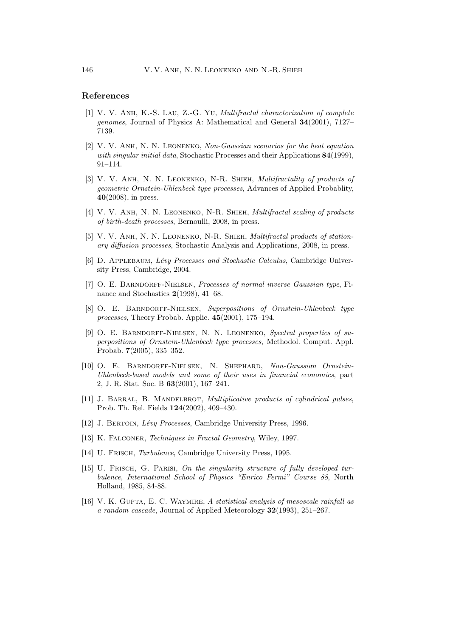# **References**

- [1] V. V. Anh, K.-S. Lau, Z.-G. Yu, *Multifractal characterization of complete genomes*, Journal of Physics A: Mathematical and General **34**(2001), 7127– 7139.
- [2] V. V. Anh, N. N. Leonenko, *Non-Gaussian scenarios for the heat equation with singular initial data*, Stochastic Processes and their Applications **84**(1999), 91–114.
- [3] V. V. Anh, N. N. Leonenko, N-R. Shieh, *Multifractality of products of geometric Ornstein-Uhlenbeck type processes*, Advances of Applied Probablity, **40**(2008), in press.
- [4] V. V. Anh, N. N. Leonenko, N-R. Shieh, *Multifractal scaling of products of birth-death processes*, Bernoulli, 2008, in press.
- [5] V. V. Anh, N. N. Leonenko, N-R. Shieh, *Multifractal products of stationary diffusion processes*, Stochastic Analysis and Applications, 2008, in press.
- [6] D. Applebaum, *L´evy Processes and Stochastic Calculus*, Cambridge University Press, Cambridge, 2004.
- [7] O. E. Barndorff-Nielsen, *Processes of normal inverse Gaussian type*, Finance and Stochastics **2**(1998), 41–68.
- [8] O. E. Barndorff-Nielsen, *Superpositions of Ornstein-Uhlenbeck type processes*, Theory Probab. Applic. **45**(2001), 175–194.
- [9] O. E. Barndorff-Nielsen, N. N. Leonenko, *Spectral properties of superpositions of Ornstein-Uhlenbeck type processes*, Methodol. Comput. Appl. Probab. **7**(2005), 335–352.
- [10] O. E. BARNDORFF-NIELSEN, N. SHEPHARD, Non-Gaussian Ornstein-*Uhlenbeck-based models and some of their uses in financial economics*, part 2, J. R. Stat. Soc. B **63**(2001), 167–241.
- [11] J. BARRAL, B. MANDELBROT, *Multiplicative products of cylindrical pulses*, Prob. Th. Rel. Fields **124**(2002), 409–430.
- [12] J. Bertoin, *L´evy Processes*, Cambridge University Press, 1996.
- [13] K. Falconer, *Techniques in Fractal Geometry*, Wiley, 1997.
- [14] U. Frisch, *Turbulence*, Cambridge University Press, 1995.
- [15] U. Frisch, G. Parisi, *On the singularity structure of fully developed turbulence*, *International School of Physics "Enrico Fermi" Course 88*, North Holland, 1985, 84-88.
- [16] V. K. Gupta, E. C. Waymire, *A statistical analysis of mesoscale rainfall as a random cascade*, Journal of Applied Meteorology **32**(1993), 251–267.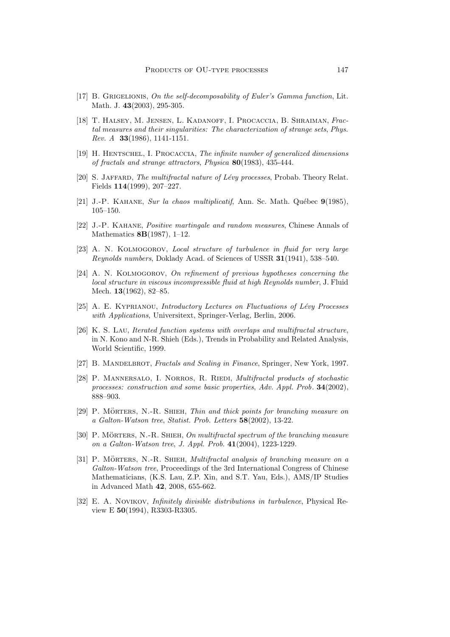- [17] B. Grigelionis, *On the self-decomposability of Euler's Gamma function*, Lit. Math. J. **43**(2003), 295-305.
- [18] T. Halsey, M. Jensen, L. Kadanoff, I. Procaccia, B. Shraiman, *Fractal measures and their singularities: The characterization of strange sets*, *Phys. Rev. A* **33**(1986), 1141-1151.
- [19] H. Hentschel, I. Procaccia, *The infinite number of generalized dimensions of fractals and strange attractors*, *Physica* **80**(1983), 435-444.
- [20] S. Jaffard, *The multifractal nature of L´evy processes*, Probab. Theory Relat. Fields **114**(1999), 207–227.
- [21] J.-P. KAHANE, *Sur la chaos multiplicatif*, Ann. Sc. Math. Québec **9**(1985), 105–150.
- [22] J.-P. Kahane, *Positive martingale and random measures*, Chinese Annals of Mathematics **8B**(1987), 1–12.
- [23] A. N. Kolmogorov, *Local structure of turbulence in fluid for very large Reynolds numbers*, Doklady Acad. of Sciences of USSR **31**(1941), 538–540.
- [24] A. N. Kolmogorov, *On refinement of previous hypotheses concerning the local structure in viscous incompressible fluid at high Reynolds number*, J. Fluid Mech. **13**(1962), 82–85.
- [25] A. E. Kyprianou, *Introductory Lectures on Fluctuations of L´evy Processes with Applications*, Universitext, Springer-Verlag, Berlin, 2006.
- [26] K. S. Lau, *Iterated function systems with overlaps and multifractal structure*, in N. Kono and N-R. Shieh (Eds.), Trends in Probability and Related Analysis, World Scientific, 1999.
- [27] B. Mandelbrot, *Fractals and Scaling in Finance*, Springer, NewYork, 1997.
- [28] P. Mannersalo, I. Norros, R. Riedi, *Multifractal products of stochastic processes: construction and some basic properties*, *Adv. Appl. Prob.* **34**(2002), 888–903.
- [29] P. MÖRTERS, N.-R. SHIEH, *Thin and thick points for branching measure on a Galton-Watson tree*, *Statist. Prob. Letters* **58**(2002), 13-22.
- [30] P. MÖRTERS, N.-R. SHIEH, *On multifractal spectrum of the branching measure on a Galton-Watson tree*, *J. Appl. Prob.* **41**(2004), 1223-1229.
- [31] P. MÖRTERS, N.-R. SHIEH, *Multifractal analysis of branching measure on a Galton-Watson tree*, Proceedings of the 3rd International Congress of Chinese Mathematicians, (K.S. Lau, Z.P. Xin, and S.T. Yau, Eds.), AMS/IP Studies in Advanced Math **42**, 2008, 655-662.
- [32] E. A. Novikov, *Infinitely divisible distributions in turbulence*, Physical ReviewE **50**(1994), R3303-R3305.